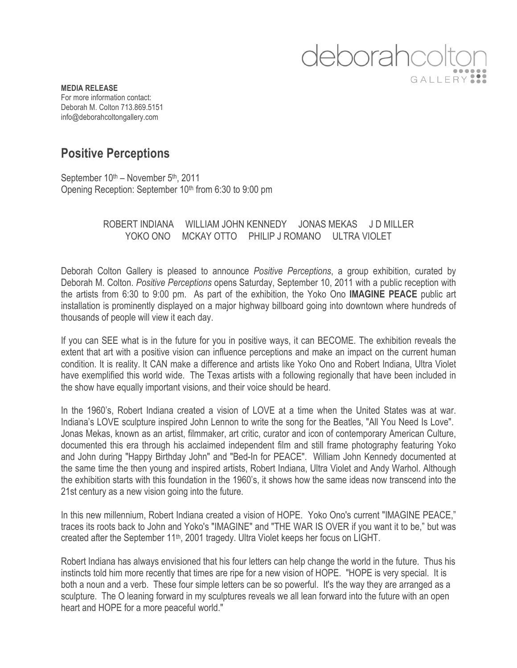

**MEDIA RELEASE** For more information contact: Deborah M. Colton 713.869.5151 info@deborahcoltongallery.com

## **Positive Perceptions**

September 10<sup>th</sup> – November 5<sup>th</sup>, 2011 Opening Reception: September 10<sup>th</sup> from 6:30 to 9:00 pm

## ROBERT INDIANA WILLIAM JOHN KENNEDY JONAS MEKAS J D MILLER YOKO ONO MCKAY OTTO PHILIP J ROMANO ULTRA VIOLET

Deborah Colton Gallery is pleased to announce *Positive Perceptions*, a group exhibition, curated by Deborah M. Colton. *Positive Perceptions* opens Saturday, September 10, 2011 with a public reception with the artists from 6:30 to 9:00 pm. As part of the exhibition, the Yoko Ono **IMAGINE PEACE** public art installation is prominently displayed on a major highway billboard going into downtown where hundreds of thousands of people will view it each day.

If you can SEE what is in the future for you in positive ways, it can BECOME. The exhibition reveals the extent that art with a positive vision can influence perceptions and make an impact on the current human condition. It is reality. It CAN make a difference and artists like Yoko Ono and Robert Indiana, Ultra Violet have exemplified this world wide. The Texas artists with a following regionally that have been included in the show have equally important visions, and their voice should be heard.

In the 1960's, Robert Indiana created a vision of LOVE at a time when the United States was at war. Indiana's LOVE sculpture inspired John Lennon to write the song for the Beatles, "All You Need Is Love". Jonas Mekas, known as an artist, filmmaker, art critic, curator and icon of contemporary American Culture, documented this era through his acclaimed independent film and still frame photography featuring Yoko and John during "Happy Birthday John" and "Bed-In for PEACE". William John Kennedy documented at the same time the then young and inspired artists, Robert Indiana, Ultra Violet and Andy Warhol. Although the exhibition starts with this foundation in the 1960's, it shows how the same ideas now transcend into the 21st century as a new vision going into the future.

In this new millennium, Robert Indiana created a vision of HOPE. Yoko Ono's current "IMAGINE PEACE," traces its roots back to John and Yoko's "IMAGINE" and "THE WAR IS OVER if you want it to be," but was created after the September 11th, 2001 tragedy. Ultra Violet keeps her focus on LIGHT.

Robert Indiana has always envisioned that his four letters can help change the world in the future. Thus his instincts told him more recently that times are ripe for a new vision of HOPE. "HOPE is very special. It is both a noun and a verb. These four simple letters can be so powerful. It's the way they are arranged as a sculpture. The O leaning forward in my sculptures reveals we all lean forward into the future with an open heart and HOPE for a more peaceful world."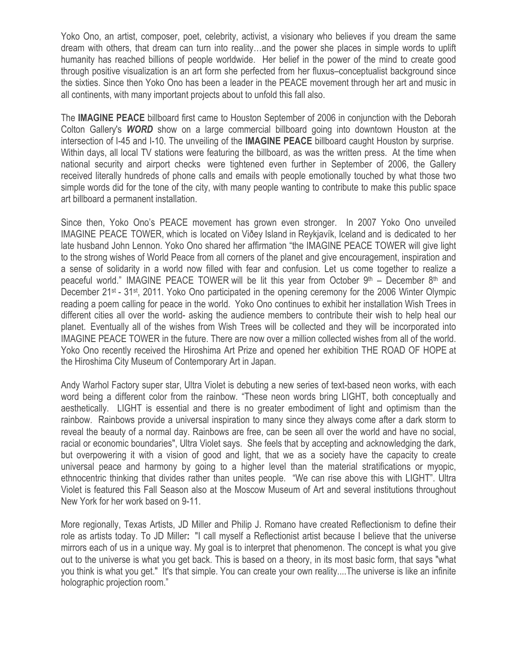Yoko Ono, an artist, composer, poet, celebrity, activist, a visionary who believes if you dream the same dream with others, that dream can turn into reality…and the power she places in simple words to uplift humanity has reached billions of people worldwide. Her belief in the power of the mind to create good through positive visualization is an art form she perfected from her fluxus–conceptualist background since the sixties. Since then Yoko Ono has been a leader in the PEACE movement through her art and music in all continents, with many important projects about to unfold this fall also.

The **IMAGINE PEACE** billboard first came to Houston September of 2006 in conjunction with the Deborah Colton Gallery's *WORD* show on a large commercial billboard going into downtown Houston at the intersection of I-45 and I-10. The unveiling of the **IMAGINE PEACE** billboard caught Houston by surprise. Within days, all local TV stations were featuring the billboard, as was the written press. At the time when national security and airport checks were tightened even further in September of 2006, the Gallery received literally hundreds of phone calls and emails with people emotionally touched by what those two simple words did for the tone of the city, with many people wanting to contribute to make this public space art billboard a permanent installation.

Since then, Yoko Ono's PEACE movement has grown even stronger. In 2007 Yoko Ono unveiled IMAGINE PEACE TOWER, which is located on Viðey Island in Reykjavík, Iceland and is dedicated to her late husband John Lennon. Yoko Ono shared her affirmation "the IMAGINE PEACE TOWER will give light to the strong wishes of World Peace from all corners of the planet and give encouragement, inspiration and a sense of solidarity in a world now filled with fear and confusion. Let us come together to realize a peaceful world." IMAGINE PEACE TOWER will be lit this year from October  $9<sup>th</sup>$  – December  $8<sup>th</sup>$  and December 21<sup>st</sup> - 31<sup>st</sup>, 2011. Yoko Ono participated in the opening ceremony for the 2006 Winter Olympic reading a poem calling for peace in the world. Yoko Ono continues to exhibit her installation Wish Trees in different cities all over the world- asking the audience members to contribute their wish to help heal our planet. Eventually all of the wishes from Wish Trees will be collected and they will be incorporated into IMAGINE PEACE TOWER in the future. There are now over a million collected wishes from all of the world. Yoko Ono recently received the Hiroshima Art Prize and opened her exhibition THE ROAD OF HOPE at the Hiroshima City Museum of Contemporary Art in Japan.

Andy Warhol Factory super star, Ultra Violet is debuting a new series of text-based neon works, with each word being a different color from the rainbow. "These neon words bring LIGHT, both conceptually and aesthetically. LIGHT is essential and there is no greater embodiment of light and optimism than the rainbow. Rainbows provide a universal inspiration to many since they always come after a dark storm to reveal the beauty of a normal day. Rainbows are free, can be seen all over the world and have no social, racial or economic boundaries", Ultra Violet says. She feels that by accepting and acknowledging the dark, but overpowering it with a vision of good and light, that we as a society have the capacity to create universal peace and harmony by going to a higher level than the material stratifications or myopic, ethnocentric thinking that divides rather than unites people. "We can rise above this with LIGHT". Ultra Violet is featured this Fall Season also at the Moscow Museum of Art and several institutions throughout New York for her work based on 9-11.

More regionally, Texas Artists, JD Miller and Philip J. Romano have created Reflectionism to define their role as artists today. To JD Miller**:** "I call myself a Reflectionist artist because I believe that the universe mirrors each of us in a unique way. My goal is to interpret that phenomenon. The concept is what you give out to the universe is what you get back. This is based on a theory, in its most basic form, that says "what you think is what you get." It's that simple. You can create your own reality....The universe is like an infinite holographic projection room."